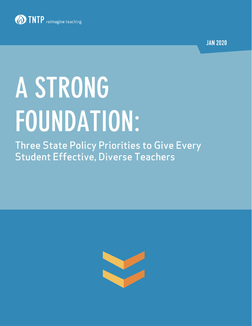

**JAN 2020** 

# A STRONG FOUNDATION:

**Three State Policy Priorities to Give Every Student Effective, Diverse Teachers** 

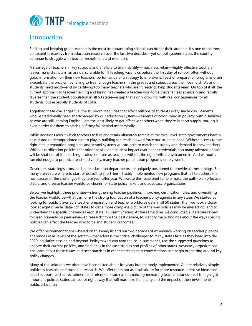

# **Introduction**

Finding and keeping great teachers is the most important thing schools can do for their students. It's one of the most consistent takeaways from education research over the last two decades—yet school systems across the country continue to struggle with teacher recruitment and retention.

A shortage of teachers in key subjects and a failure to even identify—much less retain—highly effective teachers leaves many districts in an annual scramble to fill teaching vacancies before the first day of school, often without good information on their new teachers' performance or a strategy to improve it. Teacher preparation programs often exacerbate the problem by failing to train enough teachers in the grades and subject areas their local districts and students need most—and by certifying too many teachers who aren't ready to help students learn. On top of it all, the current approach to teacher training and hiring has created a teacher workforce that's far less ethnically and racially diverse than the student population in all 50 states—a gap that's only growing, with real consequences for all students, but especially students of color.

Together, these challenges fuel the stubborn inequities that affect millions of students every single day. Students who've traditionally been shortchanged by our education system—students of color, living in poverty, with disabilities, or who are still learning English—are the least likely to get effective teachers when they're in short supply, making it even harder for them to catch up if they fall behind academically.

While decisions about which teachers to hire and retain ultimately remain at the local level, state governments have a crucial and underappreciated role to play in building the teaching workforce our students need. Without access to the right data, preparation programs and school systems will struggle to match the supply and demand for new teachers. Without certification policies that prioritize skill and student impact over paper credentials, too many talented people will be shut out of the teaching profession even as teachers without the right skills are welcomed in. And without a forceful nudge to prioritize teacher diversity, many teacher preparation programs simply won't.

Governors, state legislators, and state education departments are uniquely positioned to provide all these things. But many aren't sure where to start or default to short-term, hastily implemented new programs that fail to address the root causes of the challenges they face year after year. We wrote this issue brief to help make the path to an effective, stable, and diverse teacher workforce clearer for state policymakers and advocacy organizations.

Below, we highlight three priorities—strengthening teacher pipelines, improving certification rules, and diversifying the teacher workforce—that can form the strong foundation of a teacher policy agenda in any state. We started by looking for publicly available teacher preparation and teacher workforce data in all 50 states. Then we took a closer look at eight diverse, data-rich states to get a more complete picture of the way policies may be interacting, and to understand the specific challenges each state is currently facing. At the same time, we conducted a literature review focused primarily on peer-reviewed research from the past decade, to identify major findings about the ways specific policies can affect the teacher workforce and student outcomes.

We offer recommendations—based on this analysis and our two decades of experience working on teacher pipeline challenges at all levels of the system—that address the critical challenges so many states face as they head into the 2020 legislative session and beyond. Policymakers can read the issue summaries, use the suggested questions to analyze their current policies, and find ideas in the case studies and profiles of other states. Advocacy organizations can learn about these issues and best practices in other states to start conversations and begin organizing around key policy changes.

Many of the solutions we offer have been talked about for years but are rarely implemented. All are relatively simple, politically feasible, and rooted in research. We offer them not as a substitute for more resource-intensive ideas that could support teacher recruitment and retention—such as dramatically increasing teacher salaries—but to highlight important policies states can adopt right away that will maximize the equity and the impact of their investments in public education.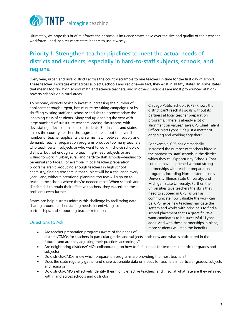

Ultimately, we hope this brief reinforces the enormous influence states have over the size and quality of their teacher workforce—and inspires more state leaders to use it wisely.

# **Priority 1: Strengthen teacher pipelines to meet the actual needs of districts and students, especially in hard-to-staff subjects, schools, and regions.**

Every year, urban and rural districts across the country scramble to hire teachers in time for the first day of school. These teacher shortages exist across subjects, schools and regions—in fact, they exist in all fifty states. In some states, that means too few high school math and science teachers, and in others, vacancies are most pronounced at highpoverty schools or in rural areas.

To respond, districts typically invest in increasing the number of applicants through urgent, last-minute recruiting campaigns, or by shuffling existing staff and school schedules to accommodate the incoming class of students. Many end up opening the year with large numbers of substitute teachers leading classrooms, with devastating effects on millions of students. But in cities and states across the country, teacher shortages are less about the overall number of teacher applicants than a mismatch between supply and demand. Teacher preparation programs produce too many teachers who teach certain subjects or who want to work in choice schools or districts, but not enough who teach high-need subjects or are willing to work in urban, rural, and hard-to-staff schools—leading to perennial shortages. For example, if local teacher preparation programs aren't producing enough teachers in high school chemistry, finding teachers in that subject will be a challenge every year—and, without intentional planning, too few will sign on to teach in the schools where they're needed most. When schools and districts fail to retain their effective teachers, they exacerbate these problems even further.

States can help districts address this challenge by facilitating data sharing around teacher staffing needs, incentivizing local partnerships, and supporting teacher retention.

## Questions to Ask

- Are teacher preparation programs aware of the needs of districts/CMOs for teachers in particular grades and subjects, both now and what is anticipated in the future—and are they adjusting their practices accordingly?
- Are neighboring districts/CMOs collaborating on how to fulfill needs for teachers in particular grades and subjects?
- Do districts/CMOs know which preparation programs are providing the most teachers?
- Does the state regularly gather and share actionable data on needs for teachers in particular grades, subjects and regions?
- Do districts/CMO's effectively identify their highly effective teachers, and, if so, at what rate are they retained within and across schools and districts?

Chicago Public Schools (CPS) knows the district can't reach its goals without its partners at local teacher preparation programs. "There is already a lot of alignment on values," says CPS Chief Talent Officer Matt Lyons. "It's just a matter of engaging and working together."

For example, CPS has dramatically increased the number of teachers hired in the hardest-to-staff schools in the district, which they call Opportunity Schools. That couldn't have happened without strong partnerships with teacher preparation programs, including Northeastern Illinois University, Illinois State University, and Michigan State University. Further, the universities give teachers the skills they need to succeed in CPS, as well as communicate how valuable the work can be; CPS helps new teachers navigate the system and works with principals to find a school placement that's a great fit. "We want candidates to be successful," Lyons adds. And with these partnerships in place, more students will reap the benefits.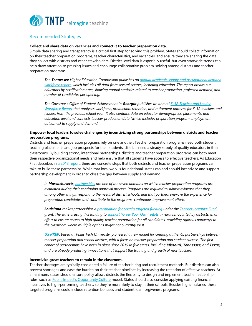

## Recommended Strategies

#### **Collect and share data on vacancies and connect it to teacher preparation data.**

Simple data sharing and transparency is a critical first step for solving this problem. States should collect information on their teacher preparation programs, teacher characteristics, and vacancies, and ensure they are sharing the data they collect with districts and other stakeholders. District-level data is especially useful, but even statewide trends can help draw attention to pressing issues and encourage collaborative problem-solving among districts and teacher preparation programs.

*The Tennessee Higher Education Commission publishes an [annual academic supply and occupational demand](https://www.tn.gov/content/dam/tn/thec/bureau/research/other-research/supply-demand/2019%20Academic%20Supply%20and%20Occupational%20Demand%20Report.pdf)  [workforce report,](https://www.tn.gov/content/dam/tn/thec/bureau/research/other-research/supply-demand/2019%20Academic%20Supply%20and%20Occupational%20Demand%20Report.pdf) which includes all data from several sectors, including education. The report breaks out educators by certification area, showing annual statistics related to teacher production, projected demand, and number of candidates per opening.* 

*The Governor's Office of Student Achievement in Georgia publishes an annua[l K-12 Teacher and Leader](https://gosa.georgia.gov/research-evaluation-auditing/research-reports)  [Workforce Report](https://gosa.georgia.gov/research-evaluation-auditing/research-reports) that analyzes workforce, production, retention, and retirement patterns for K-12 teachers and leaders from the previous school year. It also contains data on educator demographics, placements, and education level and connects teacher production data (which includes preparation program employment outcomes) to supply and demand.* 

#### **Empower local leaders to solve challenges by incentivizing strong partnerships between districts and teacher preparation programs.**

Districts and teacher preparation programs rely on one another. Teacher preparation programs need both student teaching placements and job prospects for their students; districts need a steady supply of quality educators in their classrooms. By building strong, intentional partnerships, districts and teacher preparation programs can both meet their respective organizational needs and help ensure that all students have access to effective teachers. As Education First describes in [a 2018 report,](https://education-first.com/partnering-on-prep/) there are concrete steps that both districts and teacher preparation programs can take to build these partnerships. While that local work is foundational, states can and should incentivize and support partnership development in order to close the gap between supply and demand.

*In Massachusetts, [partnerships](http://www.doe.mass.edu/edprep/partnerships/) are one of the seven domains on which teacher preparation programs are evaluated during their continuing approval process. Programs are required to submit evidence that they, among other things, respond to the needs of district schools, and that partners improve the experience for preparation candidates and contribute to the programs' continuous improvement efforts.*

*Louisiana makes partnerships [a precondition for certain targeted funding](https://www.louisianabelieves.com/docs/default-source/teaching/believe-and-prepare---full-preparation-in-rural-communities-rfa.pdf?sfvrsn=4) under the [Teacher Incentive Fund](https://www.louisianabelieves.com/docs/default-source/teaching/teacher-incentive-fund-toolkit-september-2017.pdf?sfvrsn=8) grant. The state is using this funding to [support "Grow Your Own" pilots](https://www.louisianabelieves.com/docs/default-source/teaching/2017-believe-and-prepare-rural-report.pdf?sfvrsn=6) in rural schools, led by districts, in an effort to ensure access to high quality teacher preparation for all candidates, providing rigorous pathways to the classroom where multiple options might not currently exist.* 

*[US PREP](https://www.usprepnationalcenter.com/), based at Texas Tech University, pioneered a new model for creating authentic partnerships between teacher preparation and school districts, with a focus on teacher preparation and student success. The first cohort of partnerships have been in place since 2015 in five states, including Missouri, Tennessee, and Texas, and are already producing innovations that support the training and growth of new teachers.*

#### **Incentivize great teachers to remain in the classroom.**

Teacher shortages are typically considered a failure of teacher hiring and recruitment methods. But districts can also prevent shortages and ease the burden on their teacher pipelines by increasing the retention of effective teachers. At a minimum, states should ensure policy allows districts the flexibility to design and implement teacher leadership roles, such as [Public Impact's Opportunity Culture](https://www.opportunityculture.org/) model. States should also consider applying existing financial incentives to high-performing teachers, so they're more likely to stay in their schools. Besides higher salaries, these targeted programs could include retention bonuses and student loan forgiveness programs.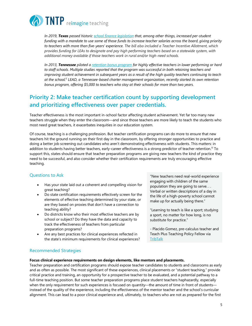

*In 2019, Texas passed histori[c school finance legislation](https://tea.texas.gov/About_TEA/Government_Relations_and_Legal/Government_Relations/House_Bill_3) that, among other things, increased per-student funding with a mandate to use some of those funds to increase teacher salaries across the board, giving priority to teachers with more than five-years' experience. The bill also included a Teacher Incentive Allotment, which provides funding for LEAs to designate and pay high performing teachers based on a statewide system, with additional money available if those teachers work in rural and/or high-need schools.*

*In 2013, Tennessee piloted a [retention bonus program](https://www.eurekalert.org/pub_releases/2019-02/uog-str022019.php) for highly effective teachers in lower performing or hard to staff schools. Multiple studies reported that the program was successful in both retaining teachers and improving student achievement in subsequent years as a result of the high quality teachers continuing to teach at the school.ii LEAD, a Tennessee-based charter management organization, recently started its own retention bonus program, offering \$5,000 to teachers who stay at their schools for more than two years.*

# **Priority 2: Make teacher certification count by supporting development and prioritizing effectiveness over paper credentials.**

Teacher effectiveness is the most important in-school factor affecting student achievement. Yet far too many new teachers struggle when they enter the classroom—and since those teachers are more likely to teach the students who most need great teachers, it exacerbates inequities in our education system.

Of course, teaching is a challenging profession. But teacher certification programs can do more to ensure that new teachers hit the ground running on their first day in the classroom, by offering stronger opportunities to practice and doing a better job screening out candidates who aren't demonstrating effectiveness with students. This matters: in addition to students having better teachers, early-career effectiveness is a strong predictor of teacher retention.<sup>iii</sup> To support this, states should ensure that teacher preparation programs are giving new teachers the kind of practice they need to be successful, and also consider whether their certification requirements are truly encouraging effective teaching.

## Questions to Ask

- Has your state laid out a coherent and compelling vision for great teaching?
- Do state certification requirements effectively screen for the elements of effective teaching determined by your state, or are they based on proxies that don't have a connection to teaching ability?
- Do districts know who their most effective teachers are by school or subject? Do they have the data and capacity to track the effectiveness of teachers from particular preparation programs?
- Are any best practices for clinical experiences reflected in the state's minimum requirements for clinical experiences?

"New teachers need real-world experience engaging with children of the same population they are going to serve. . . Verbal or written descriptions of a day in the life of a high-poverty school cannot make up for actually being there."

"Learning to teach is like a sport; studying a sport, no matter for how long, is no substitute for practice."

- Placido Gomez, pre-calculus teacher and Teach Plus Teaching Policy Fellow via **[TribTalk](https://www.tribtalk.org/2017/03/10/teacher-preparation-is-critical-in-texas-classrooms/)** 

## Recommended Strategies

**Focus clinical experience requirements on design elements, like mentors and placements.**

Teacher preparation and certification programs should expose teacher candidates to students and classrooms as early and as often as possible. The most significant of these experiences, clinical placements or "student teaching," provide critical practice and training, an opportunity for a prospective teacher to be evaluated, and a potential pathway to a full-time teaching position. But some teacher preparation programs place student teachers haphazardly, especially when the only requirement for such experiences is focused on quantity—the amount of time in front of students instead of the quality of the experience, including the effectiveness of the mentor teacher and the school's curricular alignment. This can lead to a poor clinical experience and, ultimately, to teachers who are not as prepared for the first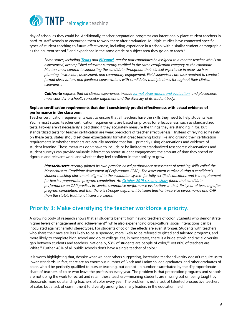

day of school as they could be. Additionally, teacher preparation programs can intentionally place student teachers in hard-to-staff schools to encourage them to work there after graduation. Multiple studies have connected specific types of student teaching to future effectiveness, including experience in a school with a similar student demographic as their current school,<sup>iv</sup> and experience in the same grade or subject area they go on to teach.<sup>y</sup>

*Some states, including [Texas](http://ritter.tea.state.tx.us/sbecrules/tac/chapter228/ch228.html) and [Missouri](https://dese.mo.gov/sites/default/files/Initial-Field-Clinical-Experiences.pdf), require that candidates be assigned to a mentor teacher who is an experienced, accomplished educator currently certified in the same certification category as the candidate. Mentors must commit to supporting the candidate throughout their clinical experience in areas such as planning, instruction, assessment, and community engagement. Field supervisors are also required to conduct formal observations and feedback conversations with candidates multiple times throughout their clinical experience.* 

*California requires that all clinical experiences includ[e formal observations and evaluation,](https://www.ctc.ca.gov/docs/default-source/educator-prep/pdf/clinical-practice-guidance.pdf?sfvrsn=8) and placements must consider a school's curricular alignment and the diversity of its student body.*

#### **Replace certification requirements that don't consistently predict effectiveness with actual evidence of performance in the classroom.**

Teacher certification requirements exist to ensure that all teachers have the skills they need to help students learn. Yet, in most states, teacher certification requirements are based on proxies for effectiveness, such as standardized tests. Proxies aren't necessarily a bad thing if they accurately measure the things they are standing in for. But standardized tests for teacher certification are weak predictors of teacher effectiveness.<sup>vi</sup> Instead of relying so heavily on these tests, states should set clear expectations for what great teaching looks like and ground their certification requirements in whether teachers are actually meeting that bar—primarily using observations and evidence of student learning. These measures don't have to include or be limited to standardized test scores: observations and student surveys can provide valuable information about student engagement, the amount of time they spend on rigorous and relevant work, and whether they feel confident in their ability to grow.

*Massachusetts recently piloted its own practice-based performance assessment of teaching skills called the Massachusetts Candidate Assessment of Performance (CAP). The assessment is taken during a candidate's student teaching placement, aligned to the evaluation system for fully certified educators, and is a requirement for teacher preparation program completion. An [October 2019 research study](https://caldercenter.org/publications/clinical-experience-classroom-assessing-predictive-validity-massachusetts-candidate) found that candidate performance on CAP predicts in-service summative performance evaluations in their first year of teaching after program completion, and that there is stronger alignment between teacher in-service performance and CAP than the state's traditional licensure exams.*

# **Priority 3: Make diversifying the teacher workforce a priority.**

A growing body of research shows that all students benefit from having teachers of color. Students who demonstrate higher levels of engagement and achievement<sup>vii</sup> while also experiencing cross-cultural social interactions can be inoculated against harmful stereotypes. For students of color, the effects are even stronger. Students with teachers who share their race are less likely to be suspended, more likely to be referred to gifted and talented programs, and more likely to complete high school and go to college. Yet, in most states, there is a huge ethnic and racial diversity gap between students and teachers. Nationally, 53% of students are people of color, in yet 80% of teachers are White.<sup>ix</sup> Further, 40% of all public schools don't have a single teacher of color. $x$ 

It is worth highlighting that, despite what we hear others suggesting, increasing teacher diversity doesn't require us to lower standards. In fact, there are an enormous number of Black and Latinx college graduates, and other graduates of color, who'd be perfectly qualified to pursue teaching, but do not—a number exacerbated by the disproportionate share of teachers of color who leave the profession every year. The problem is that preparation programs and schools are not doing the work to recruit and retain these teachers—meaning students are missing out on being taught by thousands more outstanding teachers of color every year. The problem is not a lack of talented prospective teachers of color, but a lack of commitment to diversity among too many leaders in the education field.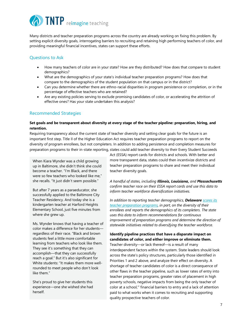

Many districts and teacher preparation programs across the country are already working on fixing this problem. By setting explicit diversity goals, interrogating barriers to recruiting and retaining high performing teachers of color, and providing meaningful financial incentives, states can support these efforts.

## Questions to Ask

- How many teachers of color are in your state? How are they distributed? How does that compare to student demographics?
- What are the demographics of your state's individual teacher preparation programs? How does that compare to the demographics of the student population on that campus or in the district?
- Can you determine whether there are ethno-racial disparities in program persistence or completion, or in the percentage of effective teachers who are retained?
- Are any existing policies serving to exclude promising candidates of color, or accelerating the attrition of effective ones? Has your state undertaken this analysis?

## Recommended Strategies

#### **Set goals and be transparent about diversity at every stage of the teacher pipeline: preparation, hiring, and retention.**

Requiring transparency about the current state of teacher diversity and setting clear goals for the future is an important first step. Title II of the Higher Education Act requires teacher preparation programs to report on the diversity of program enrollees, but not completers. In addition to adding persistence and completion measures for preparation programs to their in-state reporting, states could add teacher diversity to their Every Student Succeeds

When Kiara Wynder was a child growing up in Baltimore, she didn't think she could become a teacher. "I'm Black, and there were so few teachers who looked like me," she recalls. "It just didn't seem possible."

But after 7 years as a paraeducator, she successfully applied to the Baltimore City Teacher Residency. And today she is a kindergarten teacher at Harford Heights Elementary School, just five minutes from where she grew up.

Ms. Wynder knows that having a teacher of color makes a difference for her students regardless of their race. "Black and brown students feel a little more comfortable learning from teachers who look like them. They see it's something that they can accomplish—that they can successfully reach a goal." But it's also significant for White students: "It makes them more wellrounded to meet people who don't look like them."

She's proud to give her students this experience—one she wished she had herself.

Act (ESSA) report cards for districts and schools. With better and more transparent data, states could then incentivize districts and teacher preparation programs to share and meet their individual teacher diversity goals.

*A handful of states, including Illinois, Louisiana, and Massachusetts confirm teacher race on their ESSA report cards and use this data to inform teacher workforce diversification initiatives.*

*In addition to reporting teacher demographics, Delaware [scores its](https://www.doe.k12.de.us/Page/3902)  [teacher preparation programs,](https://www.doe.k12.de.us/Page/3902) in part, on the diversity of their enrollees and reports the demographics of its completers. The state uses this data to inform recommendations for continuous improvement of preparation programs and determine the direction of statewide initiatives related to diversifying the teacher workforce.* 

## **Identify pipeline practices that have a disparate impact on candidates of color, and either improve or eliminate them.**

Teacher diversity—or lack thereof—is a result of many interdependent factors within the system. State leaders should look across the state's policy structures, particularly those identified in Priorities 1 and 2 above, and analyze their effect on diversity. A shortage of teacher candidates of color is a direct consequence of other flaws in the teacher pipeline, such as lower rates of entry into teacher preparation programs, greater rates of placement in high poverty schools, negative impacts from being the only teacher of color at a school, xi financial barriers to entry and a lack of attention paid to what works when it comes to recruiting and supporting quality prospective teachers of color.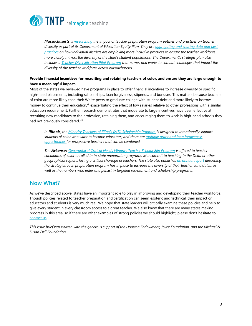

*Massachusetts i[s researchi](http://www.doe.mass.edu/educators/equitableaccess/plan.pdf)ng the impact of teacher preparation program policies and practices on teacher diversity as part of its Department of Education Equity Plan. They ar[e aggregating and sharing data and](http://www.doe.mass.edu/teach/MAlocalModels.html) best [practices](http://www.doe.mass.edu/teach/MAlocalModels.html) on how individual districts are employing more inclusive practices to ensure the teacher workforce more closely mirrors the diversity of the state's student populations. The Department's strategic plan also includes [a Teacher Diversification Pilot Program](http://www.doe.mass.edu/grants/2019/216/) that names and works to combat challenges that impact the diversity of the teacher workforce across Massachusetts.* 

#### **Provide financial incentives for recruiting and retaining teachers of color, and ensure they are large enough to have a meaningful impact.**

Most of the states we reviewed have programs in place to offer financial incentives to increase diversity or specific high-need placements, including scholarships, loan forgiveness, stipends, and bonuses. This matters because teachers of color are more likely than their White peers to graduate college with student debt and more likely to borrow money to continue their education,<sup>xii</sup> exacerbating the effect of low salaries relative to other professions with a similar education requirement. Further, research demonstrates that moderate to large incentives have been effective at recruiting new candidates to the profession, retaining them, and encouraging them to work in high-need schools they had not previously considered.<sup>xiii</sup>

*In Illinois, the [Minority Teachers of Illinois \(MTI\) Scholarship Program](https://www.isac.org/students/during-college/types-of-financial-aid/scholarships/minority-teachers-of-illinois-mti-scholarship-program.html) is designed to intentionally support students of color who want to become educators, and there are [multiple grant and loan forgiveness](https://www.isac.org/isac-gift-assistance-programs/MTI-scholarship/media/CMPTEACHIFTC.pdf)  [opportunities](https://www.isac.org/isac-gift-assistance-programs/MTI-scholarship/media/CMPTEACHIFTC.pdf) for prospective teachers that can be combined.*

*The Arkansas [Geographical Critical Needs Minority Teacher Scholarship Program](https://static.ark.org/eeuploads/adhe/14_-_ARKANSAS_GEOGRAPHICAL_CRITICAL_NEEDS_MINORITY_TEACHER_SCHOLARSHIP_PROGRAM.pdf) is offered to teacher candidates of color enrolled in in-state preparation programs who commit to teaching in the Delta or other geographical regions facing a critical shortage of teachers. The state also publishes [an annual report](https://eis.ade.arkansas.gov/eppr/docs/Other/2019%20Minorities.pdf) describing the strategies each preparation program has in place to increase the diversity of their teacher candidates, as well as the numbers who enter and persist in targeted recruitment and scholarship programs.*

# **Now What?**

As we've described above, states have an important role to play in improving and developing their teacher workforce. Though policies related to teacher preparation and certification can seem esoteric and technical, their impact on educators and students is very much real. We hope that state leaders will critically examine these policies and help to give every student in every classroom access to a great teacher. We also know that there are many states making progress in this area, so if there are other examples of strong policies we should highlight, please don't hesitate to [contact us.](https://tntp.org/#contact)

*This issue brief was written with the generous support of the Houston Endowment, Joyce Foundation, and the Michael & Susan Dell Foundation.*